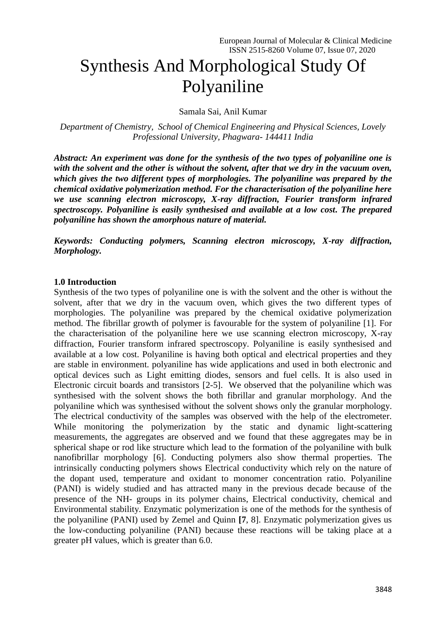# Synthesis And Morphological Study Of Polyaniline

Samala Sai, Anil Kumar

*Department of Chemistry, School of Chemical Engineering and Physical Sciences, Lovely Professional University, Phagwara- 144411 India*

*Abstract: An experiment was done for the synthesis of the two types of polyaniline one is with the solvent and the other is without the solvent, after that we dry in the vacuum oven, which gives the two different types of morphologies. The polyaniline was prepared by the chemical oxidative polymerization method. For the characterisation of the polyaniline here we use scanning electron microscopy, X-ray diffraction, Fourier transform infrared spectroscopy. Polyaniline is easily synthesised and available at a low cost. The prepared polyaniline has shown the amorphous nature of material.*

*Keywords: Conducting polymers, Scanning electron microscopy, X-ray diffraction, Morphology.*

#### **1.0 Introduction**

Synthesis of the two types of polyaniline one is with the solvent and the other is without the solvent, after that we dry in the vacuum oven, which gives the two different types of morphologies. The polyaniline was prepared by the chemical oxidative polymerization method. The fibrillar growth of polymer is favourable for the system of polyaniline [1]. For the characterisation of the polyaniline here we use scanning electron microscopy, X-ray diffraction, Fourier transform infrared spectroscopy. Polyaniline is easily synthesised and available at a low cost. Polyaniline is having both optical and electrical properties and they are stable in environment. polyaniline has wide applications and used in both electronic and optical devices such as Light emitting diodes, sensors and fuel cells. It is also used in Electronic circuit boards and transistors [2-5]. We observed that the polyaniline which was synthesised with the solvent shows the both fibrillar and granular morphology. And the polyaniline which was synthesised without the solvent shows only the granular morphology. The electrical conductivity of the samples was observed with the help of the electrometer. While monitoring the polymerization by the static and dynamic light-scattering measurements, the aggregates are observed and we found that these aggregates may be in spherical shape or rod like structure which lead to the formation of the polyaniline with bulk nanofibrillar morphology [6]. Conducting polymers also show thermal properties. The intrinsically conducting polymers shows Electrical conductivity which rely on the nature of the dopant used, temperature and oxidant to monomer concentration ratio. Polyaniline (PANI) is widely studied and has attracted many in the previous decade because of the presence of the NH- groups in its polymer chains, Electrical conductivity, chemical and Environmental stability. Enzymatic polymerization is one of the methods for the synthesis of the polyaniline (PANI) used by Zemel and Quinn **[7**, 8]. Enzymatic polymerization gives us the low-conducting polyaniline (PANI) because these reactions will be taking place at a greater pH values, which is greater than 6.0.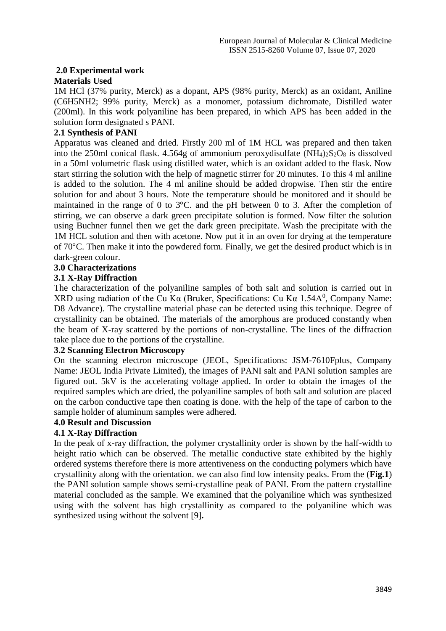# **2.0 Experimental work**

#### **Materials Used**

1M HCl (37% purity, Merck) as a dopant, APS (98% purity, Merck) as an oxidant, Aniline (C6H5NH2; 99% purity, Merck) as a monomer, potassium dichromate, Distilled water (200ml). In this work polyaniline has been prepared, in which APS has been added in the solution form designated s PANI.

# **2.1 Synthesis of PANI**

Apparatus was cleaned and dried. Firstly 200 ml of 1M HCL was prepared and then taken into the 250ml conical flask.  $4.564g$  of ammonium peroxydisulfate  $(NH_4)_2S_2O_8$  is dissolved in a 50ml volumetric flask using distilled water, which is an oxidant added to the flask. Now start stirring the solution with the help of magnetic stirrer for 20 minutes. To this 4 ml aniline is added to the solution. The 4 ml aniline should be added dropwise. Then stir the entire solution for and about 3 hours. Note the temperature should be monitored and it should be maintained in the range of 0 to 3°C. and the pH between 0 to 3. After the completion of stirring, we can observe a dark green precipitate solution is formed. Now filter the solution using Buchner funnel then we get the dark green precipitate. Wash the precipitate with the 1M HCL solution and then with acetone. Now put it in an oven for drying at the temperature of 70°C. Then make it into the powdered form. Finally, we get the desired product which is in dark-green colour.

# **3.0 Characterizations**

#### **3.1 X-Ray Diffraction**

The characterization of the polyaniline samples of both salt and solution is carried out in XRD using radiation of the Cu K $\alpha$  (Bruker, Specifications: Cu K $\alpha$  1.54A<sup>0</sup>, Company Name: D8 Advance). The crystalline material phase can be detected using this technique. Degree of crystallinity can be obtained. The materials of the amorphous are produced constantly when the beam of X-ray scattered by the portions of non-crystalline. The lines of the diffraction take place due to the portions of the crystalline.

# **3.2 Scanning Electron Microscopy**

On the scanning electron microscope (JEOL, Specifications: JSM-7610Fplus, Company Name: JEOL India Private Limited), the images of PANI salt and PANI solution samples are figured out. 5kV is the accelerating voltage applied. In order to obtain the images of the required samples which are dried, the polyaniline samples of both salt and solution are placed on the carbon conductive tape then coating is done. with the help of the tape of carbon to the sample holder of aluminum samples were adhered.

#### **4.0 Result and Discussion**

# **4.1 X-Ray Diffraction**

In the peak of x-ray diffraction, the polymer crystallinity order is shown by the half-width to height ratio which can be observed. The metallic conductive state exhibited by the highly ordered systems therefore there is more attentiveness on the conducting polymers which have crystallinity along with the orientation. we can also find low intensity peaks. From the (**Fig.1**) the PANI solution sample shows semi-crystalline peak of PANI. From the pattern crystalline material concluded as the sample. We examined that the polyaniline which was synthesized using with the solvent has high crystallinity as compared to the polyaniline which was synthesized using without the solvent [9]**.**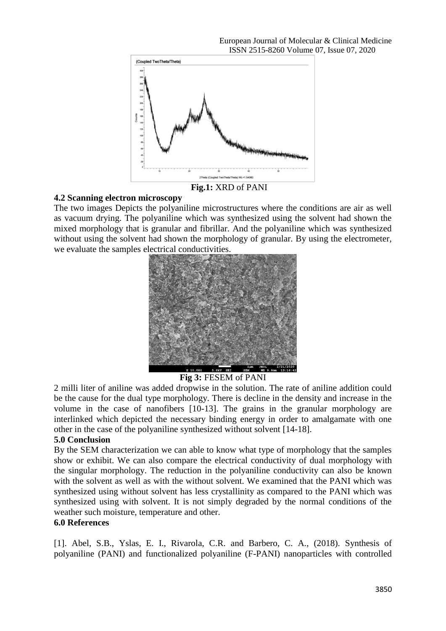

#### **4.2 Scanning electron microscopy**

The two images Depicts the polyaniline microstructures where the conditions are air as well as vacuum drying. The polyaniline which was synthesized using the solvent had shown the mixed morphology that is granular and fibrillar. And the polyaniline which was synthesized without using the solvent had shown the morphology of granular. By using the electrometer, we evaluate the samples electrical conductivities.



**Fig 3:** FESEM of PANI

2 milli liter of aniline was added dropwise in the solution. The rate of aniline addition could be the cause for the dual type morphology. There is decline in the density and increase in the volume in the case of nanofibers [10-13]. The grains in the granular morphology are interlinked which depicted the necessary binding energy in order to amalgamate with one other in the case of the polyaniline synthesized without solvent [14-18].

#### **5.0 Conclusion**

By the SEM characterization we can able to know what type of morphology that the samples show or exhibit. We can also compare the electrical conductivity of dual morphology with the singular morphology. The reduction in the polyaniline conductivity can also be known with the solvent as well as with the without solvent. We examined that the PANI which was synthesized using without solvent has less crystallinity as compared to the PANI which was synthesized using with solvent. It is not simply degraded by the normal conditions of the weather such moisture, temperature and other.

#### **6.0 References**

[1]. Abel, S.B., Yslas, E. I., Rivarola, C.R. and Barbero, C. A., (2018). Synthesis of polyaniline (PANI) and functionalized polyaniline (F-PANI) nanoparticles with controlled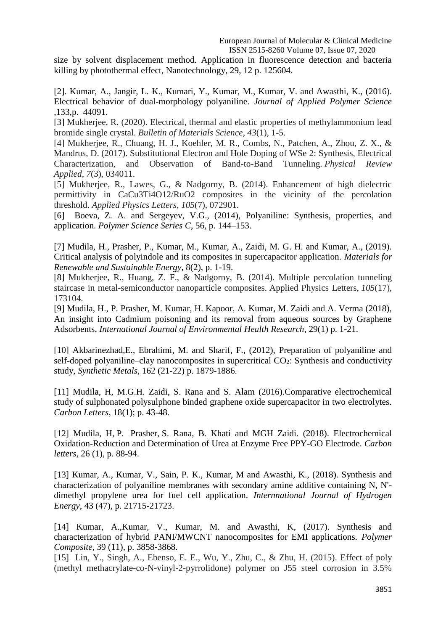size by solvent displacement method. Application in fluorescence detection and bacteria killing by photothermal effect, Nanotechnology, 29, 12 p. 125604.

[2]. Kumar, A., Jangir, L. K., Kumari, Y., Kumar, M., Kumar, V. and Awasthi, K., (2016). Electrical behavior of dual-morphology polyaniline. *Journal of Applied Polymer Science* ,133,p. 44091.

[3] Mukherjee, R. (2020). Electrical, thermal and elastic properties of methylammonium lead bromide single crystal. *Bulletin of Materials Science*, *43*(1), 1-5.

[4] Mukherjee, R., Chuang, H. J., Koehler, M. R., Combs, N., Patchen, A., Zhou, Z. X., & Mandrus, D. (2017). Substitutional Electron and Hole Doping of WSe 2: Synthesis, Electrical Characterization, and Observation of Band-to-Band Tunneling. *Physical Review Applied*, *7*(3), 034011.

[5] Mukherjee, R., Lawes, G., & Nadgorny, B. (2014). Enhancement of high dielectric permittivity in CaCu3Ti4O12/RuO2 composites in the vicinity of the percolation threshold. *Applied Physics Letters*, *105*(7), 072901.

[6] Boeva, Z. A. and Sergeyev, V.G., (2014), Polyaniline: Synthesis, properties, and application. *Polymer Science Series C*, 56, p. 144–153.

[7] Mudila, H., Prasher, P., Kumar, M., Kumar, A., Zaidi, M. G. H. and Kumar, A., (2019). Critical analysis of polyindole and its composites in supercapacitor application. *Materials for Renewable and Sustainable Energy*, 8(2), p. 1-19.

[8] Mukherjee, R., Huang, Z. F., & Nadgorny, B. (2014). Multiple percolation tunneling staircase in metal-semiconductor nanoparticle composites. Applied Physics Letters, *105*(17), 173104.

[9] Mudila, H., P. Prasher, M. Kumar, H. Kapoor, A. Kumar, M. Zaidi and A. Verma (2018), An insight into Cadmium poisoning and its removal from aqueous sources by Graphene Adsorbents, *International Journal of Environmental Health Research,* 29(1) p. 1-21.

[10] Akbarinezhad, E., [Ebrahimi,](https://www.sciencedirect.com/science/article/abs/pii/S0379677912002780#!) M. and Sharif, F., (2012), Preparation of polyaniline and self-doped polyaniline–clay nanocomposites in supercritical  $CO<sub>2</sub>$ : Synthesis and conductivity study, *Synthetic Metals,* 162 (21-22) p. 1879-1886.

[11] Mudila, H, M.G.H. Zaidi, S. Rana and S. Alam (2016).Comparative electrochemical study of sulphonated polysulphone binded graphene oxide supercapacitor in two electrolytes. *Carbon Letters*, 18(1); p. 43-48.

[12] Mudila, H, P. Prasher, S. Rana, B. Khati and MGH Zaidi. (2018). Electrochemical Oxidation-Reduction and Determination of Urea at Enzyme Free PPY-GO Electrode. *Carbon letters*, 26 (1), p. 88-94.

[13] Kumar, A., Kumar, V., Sain, P. K., Kumar, M and Awasthi, K., (2018). Synthesis and characterization of polyaniline membranes with secondary amine additive containing N, N' dimethyl propylene urea for fuel cell application. *Internnational Journal of Hydrogen Energy*, 43 (47), p. 21715-21723.

[14] Kumar, A.,Kumar, V., Kumar, M. and Awasthi, K, (2017). Synthesis and characterization of hybrid PANI/MWCNT nanocomposites for EMI applications. *Polymer Composite*, 39 (11), p. 3858-3868.

[15] Lin, Y., Singh, A., Ebenso, E. E., Wu, Y., Zhu, C., & Zhu, H. (2015). Effect of poly (methyl methacrylate-co-N-vinyl-2-pyrrolidone) polymer on J55 steel corrosion in 3.5%